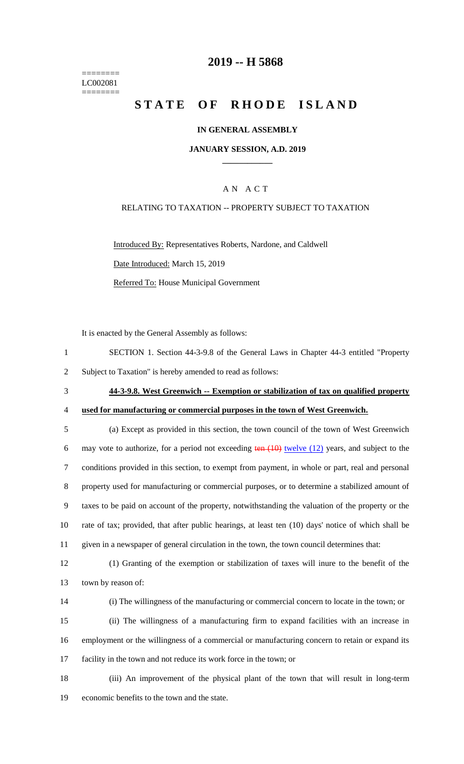======== LC002081 ========

## **2019 -- H 5868**

# **STATE OF RHODE ISLAND**

### **IN GENERAL ASSEMBLY**

### **JANUARY SESSION, A.D. 2019 \_\_\_\_\_\_\_\_\_\_\_\_**

### A N A C T

### RELATING TO TAXATION -- PROPERTY SUBJECT TO TAXATION

Introduced By: Representatives Roberts, Nardone, and Caldwell

Date Introduced: March 15, 2019

Referred To: House Municipal Government

It is enacted by the General Assembly as follows:

| SECTION 1. Section 44-3-9.8 of the General Laws in Chapter 44-3 entitled "Property" |
|-------------------------------------------------------------------------------------|
| Subject to Taxation" is hereby amended to read as follows:                          |

# 3 **44-3-9.8. West Greenwich -- Exemption or stabilization of tax on qualified property**

# 4 **used for manufacturing or commercial purposes in the town of West Greenwich.**

 (a) Except as provided in this section, the town council of the town of West Greenwich 6 may vote to authorize, for a period not exceeding  $tan (10)$  twelve  $(12)$  years, and subject to the conditions provided in this section, to exempt from payment, in whole or part, real and personal property used for manufacturing or commercial purposes, or to determine a stabilized amount of taxes to be paid on account of the property, notwithstanding the valuation of the property or the rate of tax; provided, that after public hearings, at least ten (10) days' notice of which shall be given in a newspaper of general circulation in the town, the town council determines that:

12 (1) Granting of the exemption or stabilization of taxes will inure to the benefit of the 13 town by reason of:

| e v |  |
|-----|--|
|     |  |

14 (i) The willingness of the manufacturing or commercial concern to locate in the town; or

15 (ii) The willingness of a manufacturing firm to expand facilities with an increase in 16 employment or the willingness of a commercial or manufacturing concern to retain or expand its 17 facility in the town and not reduce its work force in the town; or

18 (iii) An improvement of the physical plant of the town that will result in long-term 19 economic benefits to the town and the state.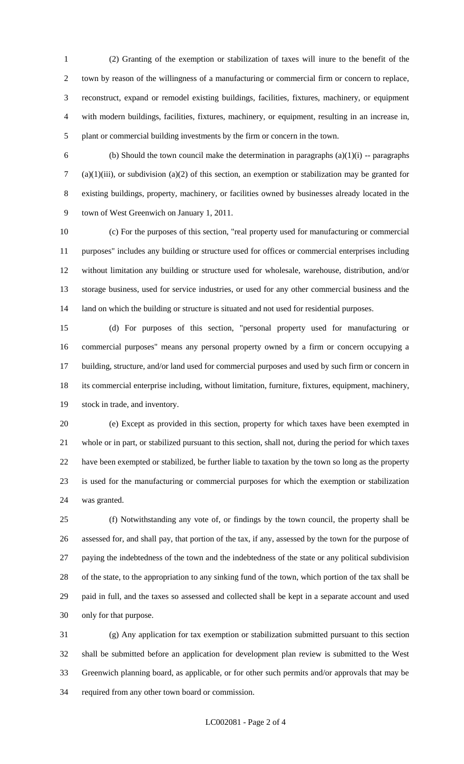(2) Granting of the exemption or stabilization of taxes will inure to the benefit of the town by reason of the willingness of a manufacturing or commercial firm or concern to replace, reconstruct, expand or remodel existing buildings, facilities, fixtures, machinery, or equipment with modern buildings, facilities, fixtures, machinery, or equipment, resulting in an increase in, plant or commercial building investments by the firm or concern in the town.

6 (b) Should the town council make the determination in paragraphs  $(a)(1)(i)$  -- paragraphs (a)(1)(iii), or subdivision (a)(2) of this section, an exemption or stabilization may be granted for existing buildings, property, machinery, or facilities owned by businesses already located in the town of West Greenwich on January 1, 2011.

 (c) For the purposes of this section, "real property used for manufacturing or commercial purposes" includes any building or structure used for offices or commercial enterprises including without limitation any building or structure used for wholesale, warehouse, distribution, and/or storage business, used for service industries, or used for any other commercial business and the 14 land on which the building or structure is situated and not used for residential purposes.

 (d) For purposes of this section, "personal property used for manufacturing or commercial purposes" means any personal property owned by a firm or concern occupying a building, structure, and/or land used for commercial purposes and used by such firm or concern in its commercial enterprise including, without limitation, furniture, fixtures, equipment, machinery, stock in trade, and inventory.

 (e) Except as provided in this section, property for which taxes have been exempted in whole or in part, or stabilized pursuant to this section, shall not, during the period for which taxes have been exempted or stabilized, be further liable to taxation by the town so long as the property is used for the manufacturing or commercial purposes for which the exemption or stabilization was granted.

 (f) Notwithstanding any vote of, or findings by the town council, the property shall be assessed for, and shall pay, that portion of the tax, if any, assessed by the town for the purpose of paying the indebtedness of the town and the indebtedness of the state or any political subdivision of the state, to the appropriation to any sinking fund of the town, which portion of the tax shall be paid in full, and the taxes so assessed and collected shall be kept in a separate account and used only for that purpose.

 (g) Any application for tax exemption or stabilization submitted pursuant to this section shall be submitted before an application for development plan review is submitted to the West Greenwich planning board, as applicable, or for other such permits and/or approvals that may be required from any other town board or commission.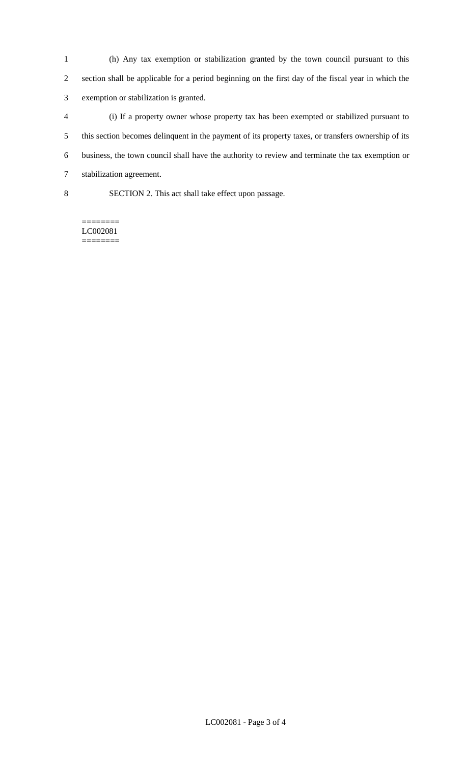(h) Any tax exemption or stabilization granted by the town council pursuant to this section shall be applicable for a period beginning on the first day of the fiscal year in which the exemption or stabilization is granted.

- (i) If a property owner whose property tax has been exempted or stabilized pursuant to this section becomes delinquent in the payment of its property taxes, or transfers ownership of its business, the town council shall have the authority to review and terminate the tax exemption or stabilization agreement.
- 

SECTION 2. This act shall take effect upon passage.

======== LC002081 ========